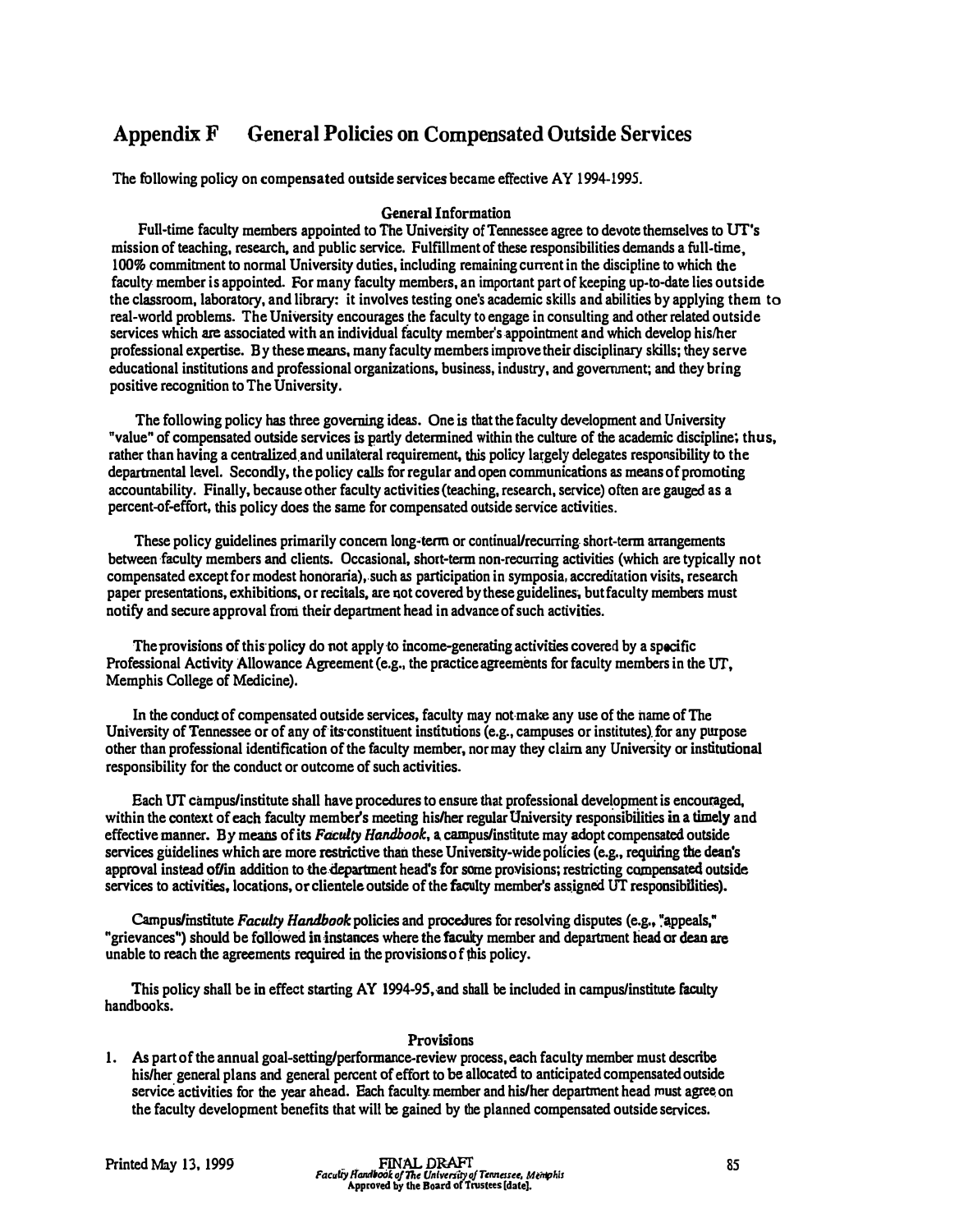## AppendixF General Policies on Compensated Outside Services

The following policy on compensated outside services became effective AY 1994-1995.

## General Information

Full-time faculty members appointed to The University of Tennessee agree to devote themselves to UT's mission of teaching, research, and public service. Fulfillment of these responsibilities demands a full-time, 100% commitment to normal University duties, including remaining current in the discipline to which the faculty member is appointed. For many faculty members, an important part of keeping up-to-date lies outside the classroom, laboratory, and library: it involves testing one's academic skills and abilities by applying them to real-world problems. The University encourages the faculty to engage in consulting and other related outside services which are associated with an individual faculty member's appointment and which develop his/her professional expertise. By these means, many faculty members improve their disciplinary skills; they serve educational institutions and professional organizations, business, industry, and government; and they bring positive recognition to The University.

The following policy has three governing ideas. One is that the faculty development and University "value" of compensated outside services is partiy determined within the culture of the academic discipline; thus, rather than having a centralized and unilateral requirement, this policy largely delegates responsibility to the departmental level. Secondly, the policy calls for regular and open communications as means of promoting accountability. Finally, because other faculty activities (teaching, research, service) often are gauged as a percent-of-effort, this policy does the same for compensated outside service activities.

These policy guidelines primarily concern long'term or continual/recurring. short-term artangements between faculty members and clients. Occasional, short-term non-recurring activities (which are typically not compensated except for modest honoraria),.such as participation in symposia, accreditation visits, research paper presentations, exhibitions, or recilals, are not covered by these guidelines; but faculty members must notify and secure approval from their department head in advance of such activities.

The provisions of this policy do not apply to income-generating activities covered by a specific Professional Activity Allowance Agreement (e.g., the practice agreements for faculty members in the UT, Memphis College of Medicine).

In the conduct of compensated outside services, faculty may not·make any use of the name of The University of Tennessee or of any of its constituent institutions (e.g., campuses or institutes) for any purpose other than professional identification of the faculty member, nor may they claim any UniverSity or institutional responsibility for the conduct or outcome of such activities.

Each UT campus/institute shall have procedures to ensure that professional development is encouraged, within the context of each faculty member's meeting his/her regular University responsibilities in a timely and effective manner. By means of its Faculty Handbook, a campus/institute may adopt compensated outside services guidelines which are more restrictive than these University-wide policies (e.g., requiring the dean's approval instead of/in addition to the department head's for some provisions; restricting compensated outside services to activities, locations, or clientele outside of the faculty member's assigned UT responsibilities).

Campus/institute Faculty Handbook policies and procedures for resolving disputes (e.g., "appeals," "grievances") should be followed in instances where the faculty member and department head or dean are unable to reach the agreements required in the provisions of this policy.

This policy shall be in effect starting AY 1994-95, and shall be included in campus/institute faculty handbooks.

## Provisions

1. As part of the annual goal-setting/performance-review process, each faculty member must describe his/her general plans and general percent of effort to be allocated to anticipated compensated outside service activities for the year ahead. Each faculty member and his/her department head must agree on the faculty development benefits that will be gained by the planned compensated outside services.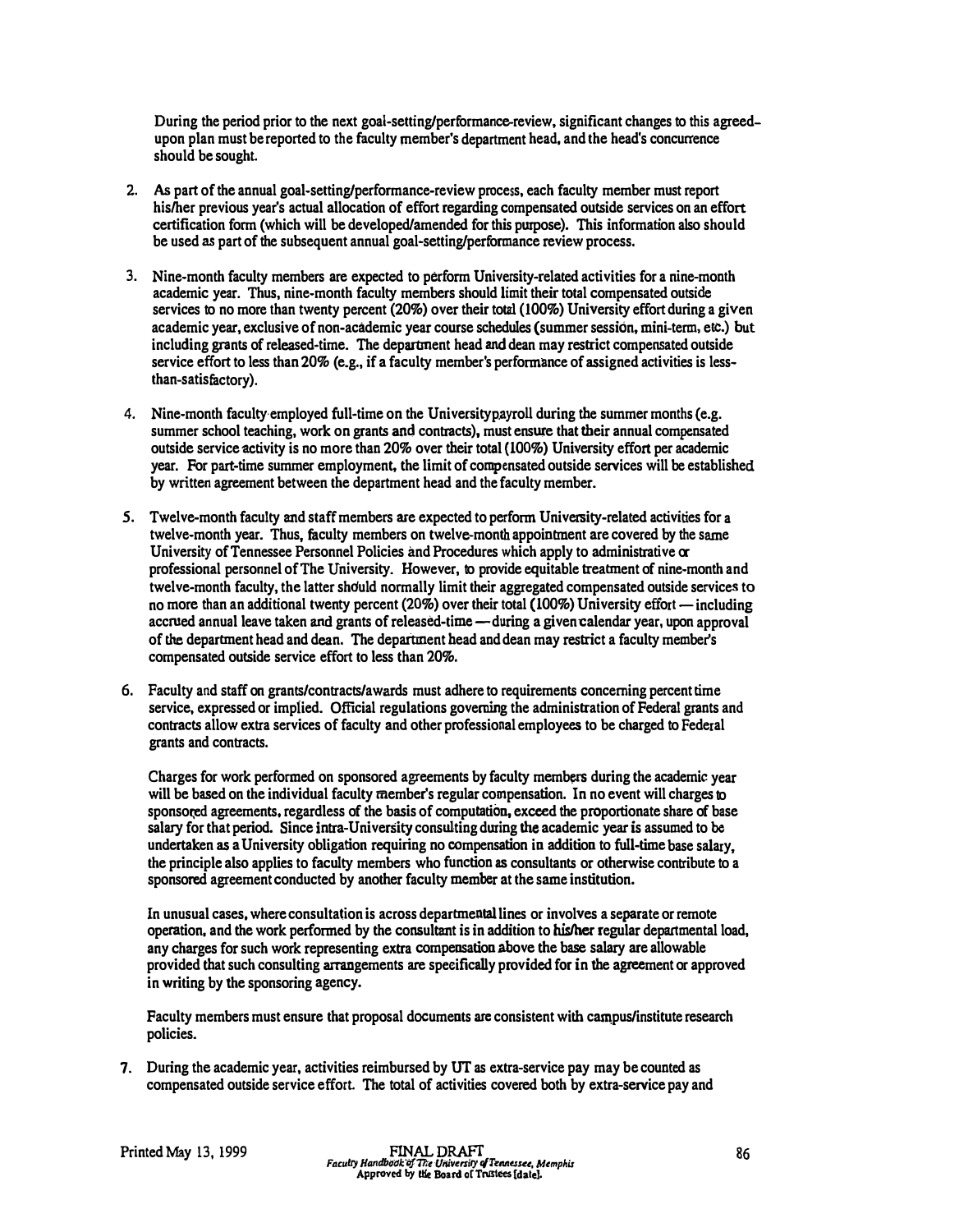During the period prior to the next goal-setting/performance-review, significant changes to this agreedupon plan must be reported to the faculty member's department head, and the head's concurrence should be sought

- 2. As part of the annual goal-setting/performance-review process, each faculty member must report his/her previous year's actual allocation of effort regarding compensated outside services on an effort certification form (which will be developed/amended for this purpose). This information also should be used as part of the subsequent annual goal-setting/performance review process.
- 3. Nine-month faculty members are expected to perform University-related activities for a nine-month academic year. Thus, nine-month faculty members should limit their total compensated outside services to no more than twenty percent (20%) over their total (100%) University effort during a given academic year, exclusive of non-academic year course schedules (summer session, mini-term, etc.) but including grants of released-time. The department head and dean may restrict compensated outside service effort to less than 20% (e.g., if a faculty member's performance of assigned activities is lessthan-satisfactory).
- 4. Nine-month faculty employed full-time on the University payroll during the summer months (e.g. summer school teaching, work on grants and contracts), must ensure that their annual compensated outside service activity is no more than 20% over their total (100%) University effort per academic year. For part-time summer employment, the limit of compensated outside services will be established by written agreement between the department head and the faculty member.
- 5. Twelve-month faculty and staff members are expected to perform University-related activities for a twelve-month year. Thus, faculty members on twelve-month appointment are covered by the same University of Tennessee Personnel Policies and Procedures which apply to administrative or professional personnel of The University. However, to provide equitable treatment of nine-month and twelve-month faculty, the latter shduld normally limit their aggregated compensated outside services to no more than an additional twenty percent  $(20\%)$  over their total  $(100\%)$  University effort — including accrued annual leave taken and grants of released-time-during a given calendar year, upon approval of the department head and dean. The department head and dean may restrict a faculty member's compensated outside service effort to less than 20%.
- 6. Faculty and staff on grants/contracts/awards must adhere to requirements concerning percent time service, expressed or implied. Official regulations governing the administration of Federal grants and contracts allow extra services of faculty and other professional employees to be charged to Federal grants and contracts.

Charges for work performed on sponsored agreements by faculty members during the academic year will be based on the individual faculty member's regular compensation. In no event will charges to sponsored agreements, regardless of the basis of computation, exceed the proportionate share of base salary for that period. Since intra-University consulting during the academic year is assumed to be undertaken as a University obligation requiring no compensation in addition to full-time base salary, the principle also applies to faculty members who function as consultants or otherwise contribute to a sponsored agreement conducted by another faculty member at the same institution.

In unusual cases, where consultation is across departmental lines or involves a separate or remote operation, and the work performed by the consultant is in addition to his/her regular departmental load, any charges for such work representing extra compensation above the base salary are allowable provided that such consulting arrangements are specifically provided for in the agreement or approved in writing by the sponsoring agency.

Faculty members must ensure that proposal documents are consistent with campus/institute research policies.

7. During the academic year, activities reimbursed by UT as extra-service pay may be counted as compensated outside service effort. The total of activities covered both by extra-service pay and